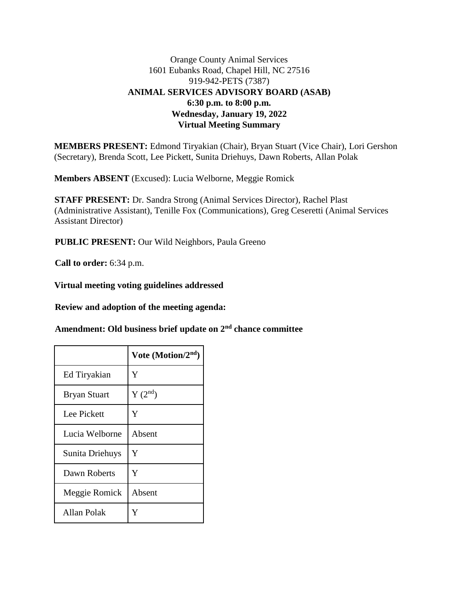# Orange County Animal Services 1601 Eubanks Road, Chapel Hill, NC 27516 919-942-PETS (7387) **ANIMAL SERVICES ADVISORY BOARD (ASAB) 6:30 p.m. to 8:00 p.m. Wednesday, January 19, 2022 Virtual Meeting Summary**

**MEMBERS PRESENT:** Edmond Tiryakian (Chair), Bryan Stuart (Vice Chair), Lori Gershon (Secretary), Brenda Scott, Lee Pickett, Sunita Driehuys, Dawn Roberts, Allan Polak

**Members ABSENT** (Excused): Lucia Welborne, Meggie Romick

**STAFF PRESENT:** Dr. Sandra Strong (Animal Services Director), Rachel Plast (Administrative Assistant), Tenille Fox (Communications), Greg Ceseretti (Animal Services Assistant Director)

**PUBLIC PRESENT:** Our Wild Neighbors, Paula Greeno

**Call to order:** 6:34 p.m.

**Virtual meeting voting guidelines addressed**

**Review and adoption of the meeting agenda:**

**Amendment: Old business brief update on 2nd chance committee**

|                     | Vote (Motion/ $2nd$ ) |
|---------------------|-----------------------|
| Ed Tiryakian        | Y                     |
| <b>Bryan Stuart</b> | $Y(2^{nd})$           |
| Lee Pickett         | Y                     |
| Lucia Welborne      | Absent                |
| Sunita Driehuys     | Y                     |
| Dawn Roberts        | Y                     |
| Meggie Romick       | Absent                |
| Allan Polak         | Ÿ                     |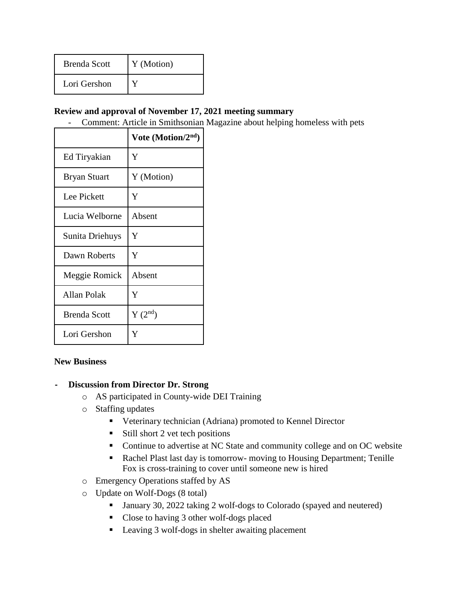| <b>Brenda Scott</b> | Y (Motion) |
|---------------------|------------|
| Lori Gershon        |            |

### **Review and approval of November 17, 2021 meeting summary**

- Comment: Article in Smithsonian Magazine about helping homeless with pets

|                     | Vote (Motion/2nd) |
|---------------------|-------------------|
| Ed Tiryakian        | Y                 |
| <b>Bryan Stuart</b> | Y (Motion)        |
| Lee Pickett         | Y                 |
| Lucia Welborne      | Absent            |
| Sunita Driehuys     | Y                 |
| Dawn Roberts        | Y                 |
| Meggie Romick       | Absent            |
| Allan Polak         | Y                 |
| <b>Brenda Scott</b> | $Y(2^{nd})$       |
| Lori Gershon        | Y                 |

#### **New Business**

#### **- Discussion from Director Dr. Strong**

- o AS participated in County-wide DEI Training
- o Staffing updates
	- Veterinary technician (Adriana) promoted to Kennel Director
	- $\blacksquare$  Still short 2 vet tech positions
	- Continue to advertise at NC State and community college and on OC website
	- Rachel Plast last day is tomorrow- moving to Housing Department; Tenille Fox is cross-training to cover until someone new is hired
- o Emergency Operations staffed by AS
- o Update on Wolf-Dogs (8 total)
	- January 30, 2022 taking 2 wolf-dogs to Colorado (spayed and neutered)
	- Close to having 3 other wolf-dogs placed
	- Leaving 3 wolf-dogs in shelter awaiting placement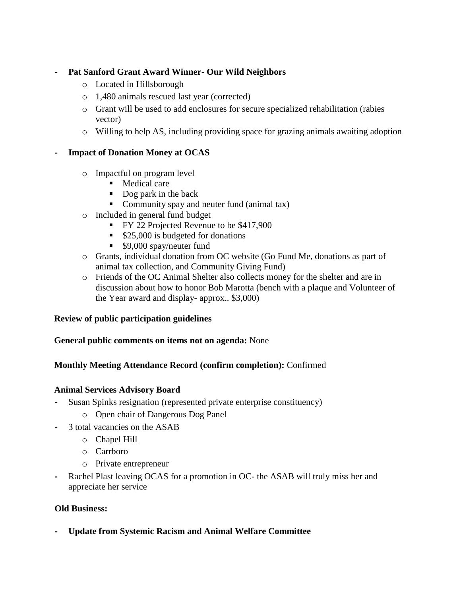### **- Pat Sanford Grant Award Winner- Our Wild Neighbors**

- o Located in Hillsborough
- o 1,480 animals rescued last year (corrected)
- o Grant will be used to add enclosures for secure specialized rehabilitation (rabies vector)
- o Willing to help AS, including providing space for grazing animals awaiting adoption

## **- Impact of Donation Money at OCAS**

- o Impactful on program level
	- **Medical care**
	- Dog park in the back
	- Community spay and neuter fund (animal tax)
- o Included in general fund budget
	- FY 22 Projected Revenue to be \$417,900
	- \$25,000 is budgeted for donations
	- \$9,000 spay/neuter fund
- o Grants, individual donation from OC website (Go Fund Me, donations as part of animal tax collection, and Community Giving Fund)
- o Friends of the OC Animal Shelter also collects money for the shelter and are in discussion about how to honor Bob Marotta (bench with a plaque and Volunteer of the Year award and display- approx.. \$3,000)

#### **Review of public participation guidelines**

#### **General public comments on items not on agenda:** None

#### **Monthly Meeting Attendance Record (confirm completion):** Confirmed

#### **Animal Services Advisory Board**

- **-** Susan Spinks resignation (represented private enterprise constituency)
	- o Open chair of Dangerous Dog Panel
- **-** 3 total vacancies on the ASAB
	- o Chapel Hill
	- o Carrboro
	- o Private entrepreneur
- **-** Rachel Plast leaving OCAS for a promotion in OC- the ASAB will truly miss her and appreciate her service

#### **Old Business:**

**- Update from Systemic Racism and Animal Welfare Committee**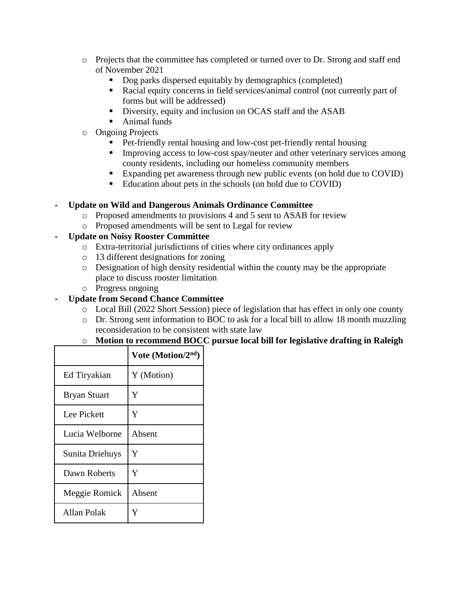- o Projects that the committee has completed or turned over to Dr. Strong and staff end of November 2021
	- Dog parks dispersed equitably by demographics (completed)
	- Racial equity concerns in field services/animal control (not currently part of forms but will be addressed)
	- Diversity, equity and inclusion on OCAS staff and the ASAB
	- Animal funds
- o Ongoing Projects
	- Pet-friendly rental housing and low-cost pet-friendly rental housing
	- **IMPROVING ACCESS TO LOW-COST SPAY/neuter and other veterinary services among** county residents, including our homeless community members
	- Expanding pet awareness through new public events (on hold due to COVID)
	- Education about pets in the schools (on hold due to COVID)

## **- Update on Wild and Dangerous Animals Ordinance Committee**

- o Proposed amendments to provisions 4 and 5 sent to ASAB for review
- o Proposed amendments will be sent to Legal for review

## **- Update on Noisy Rooster Committee**

- o Extra-territorial jurisdictions of cities where city ordinances apply
- o 13 different designations for zoning
- o Designation of high density residential within the county may be the appropriate place to discuss rooster limitation
- o Progress ongoing
- **- Update from Second Chance Committee**
	- o Local Bill (2022 Short Session) piece of legislation that has effect in only one county
	- o Dr. Strong sent information to BOC to ask for a local bill to allow 18 month muzzling reconsideration to be consistent with state law

# o **Motion to recommend BOCC pursue local bill for legislative drafting in Raleigh**

|                     | Vote (Motion/ $2nd$ ) |
|---------------------|-----------------------|
| Ed Tiryakian        | Y (Motion)            |
| <b>Bryan Stuart</b> | Y                     |
| Lee Pickett         | Y                     |
| Lucia Welborne      | Absent                |
| Sunita Driehuys     | Y                     |
| Dawn Roberts        | Y                     |
| Meggie Romick       | Absent                |
| <b>Allan Polak</b>  | Y                     |